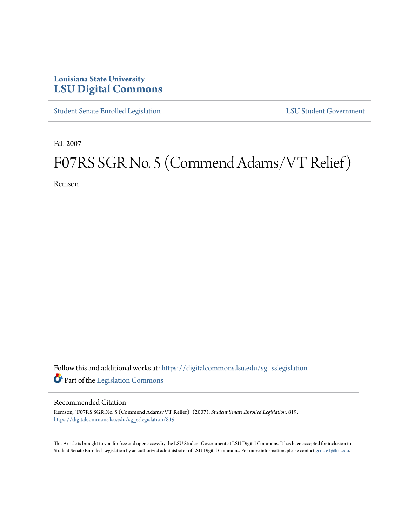## **Louisiana State University [LSU Digital Commons](https://digitalcommons.lsu.edu?utm_source=digitalcommons.lsu.edu%2Fsg_sslegislation%2F819&utm_medium=PDF&utm_campaign=PDFCoverPages)**

[Student Senate Enrolled Legislation](https://digitalcommons.lsu.edu/sg_sslegislation?utm_source=digitalcommons.lsu.edu%2Fsg_sslegislation%2F819&utm_medium=PDF&utm_campaign=PDFCoverPages) [LSU Student Government](https://digitalcommons.lsu.edu/sg?utm_source=digitalcommons.lsu.edu%2Fsg_sslegislation%2F819&utm_medium=PDF&utm_campaign=PDFCoverPages)

Fall 2007

# F07RS SGR No. 5 (Commend Adams/VT Relief)

Remson

Follow this and additional works at: [https://digitalcommons.lsu.edu/sg\\_sslegislation](https://digitalcommons.lsu.edu/sg_sslegislation?utm_source=digitalcommons.lsu.edu%2Fsg_sslegislation%2F819&utm_medium=PDF&utm_campaign=PDFCoverPages) Part of the [Legislation Commons](http://network.bepress.com/hgg/discipline/859?utm_source=digitalcommons.lsu.edu%2Fsg_sslegislation%2F819&utm_medium=PDF&utm_campaign=PDFCoverPages)

#### Recommended Citation

Remson, "F07RS SGR No. 5 (Commend Adams/VT Relief)" (2007). *Student Senate Enrolled Legislation*. 819. [https://digitalcommons.lsu.edu/sg\\_sslegislation/819](https://digitalcommons.lsu.edu/sg_sslegislation/819?utm_source=digitalcommons.lsu.edu%2Fsg_sslegislation%2F819&utm_medium=PDF&utm_campaign=PDFCoverPages)

This Article is brought to you for free and open access by the LSU Student Government at LSU Digital Commons. It has been accepted for inclusion in Student Senate Enrolled Legislation by an authorized administrator of LSU Digital Commons. For more information, please contact [gcoste1@lsu.edu.](mailto:gcoste1@lsu.edu)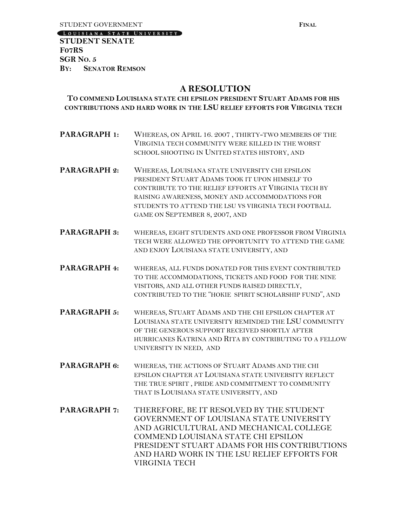[LOUISIANA STATE UNIVERSITY]

**STUDENT SENATE F07RS SGR NO. 5 BY: SENATOR REMSON**

### **A RESOLUTION**

#### **TO COMMEND LOUISIANA STATE CHI EPSILON PRESIDENT STUART ADAMS FOR HIS CONTRIBUTIONS AND HARD WORK IN THE LSU RELIEF EFFORTS FOR VIRGINIA TECH**

- **PARAGRAPH 1:** WHEREAS, ON APRIL 16. 2007 , THIRTY-TWO MEMBERS OF THE VIRGINIA TECH COMMUNITY WERE KILLED IN THE WORST SCHOOL SHOOTING IN UNITED STATES HISTORY, AND
- **PARAGRAPH 2:** WHEREAS, LOUISIANA STATE UNIVERSITY CHI EPSILON PRESIDENT STUART ADAMS TOOK IT UPON HIMSELF TO CONTRIBUTE TO THE RELIEF EFFORTS AT VIRGINIA TECH BY RAISING AWARENESS, MONEY AND ACCOMMODATIONS FOR STUDENTS TO ATTEND THE LSU VS VIRGINIA TECH FOOTBALL GAME ON SEPTEMBER 8, 2007, AND
- **PARAGRAPH 3:** WHEREAS, EIGHT STUDENTS AND ONE PROFESSOR FROM VIRGINIA TECH WERE ALLOWED THE OPPORTUNITY TO ATTEND THE GAME AND ENJOY LOUISIANA STATE UNIVERSITY, AND
- **PARAGRAPH 4:** WHEREAS, ALL FUNDS DONATED FOR THIS EVENT CONTRIBUTED TO THE ACCOMMODATIONS, TICKETS AND FOOD FOR THE NINE VISITORS, AND ALL OTHER FUNDS RAISED DIRECTLY, CONTRIBUTED TO THE "HOKIE SPIRIT SCHOLARSHIP FUND", AND
- **PARAGRAPH 5:** WHEREAS, STUART ADAMS AND THE CHI EPSILON CHAPTER AT LOUISIANA STATE UNIVERSITY REMINDED THE LSU COMMUNITY OF THE GENEROUS SUPPORT RECEIVED SHORTLY AFTER HURRICANES KATRINA AND RITA BY CONTRIBUTING TO A FELLOW UNIVERSITY IN NEED, AND
- **PARAGRAPH 6:** WHEREAS, THE ACTIONS OF STUART ADAMS AND THE CHI EPSILON CHAPTER AT LOUISIANA STATE UNIVERSITY REFLECT THE TRUE SPIRIT , PRIDE AND COMMITMENT TO COMMUNITY THAT IS LOUISIANA STATE UNIVERSITY, AND
- **PARAGRAPH 7:** THEREFORE, BE IT RESOLVED BY THE STUDENT GOVERNMENT OF LOUISIANA STATE UNIVERSITY AND AGRICULTURAL AND MECHANICAL COLLEGE COMMEND LOUISIANA STATE CHI EPSILON PRESIDENT STUART ADAMS FOR HIS CONTRIBUTIONS AND HARD WORK IN THE LSU RELIEF EFFORTS FOR VIRGINIA TECH